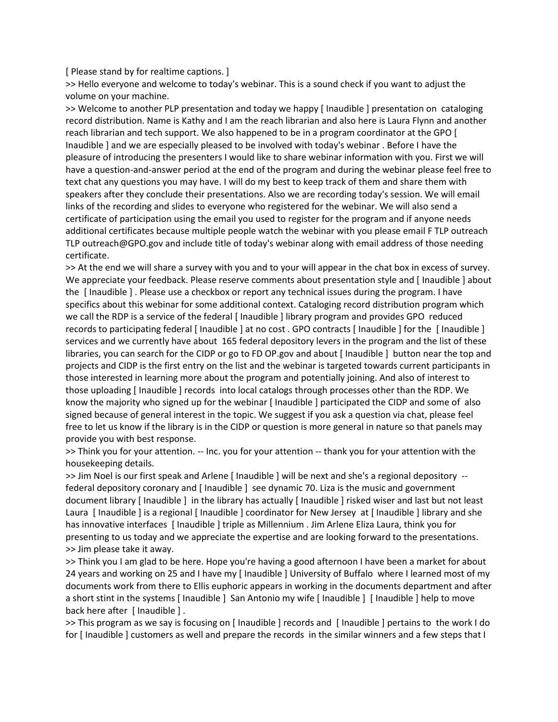[ Please stand by for realtime captions. ]

>> Hello everyone and welcome to today's webinar. This is a sound check if you want to adjust the volume on your machine.

>> Welcome to another PLP presentation and today we happy [ Inaudible ] presentation on cataloging record distribution. Name is Kathy and I am the reach librarian and also here is Laura Flynn and another reach librarian and tech support. We also happened to be in a program coordinator at the GPO [ Inaudible ] and we are especially pleased to be involved with today's webinar . Before I have the pleasure of introducing the presenters I would like to share webinar information with you. First we will have a question-and-answer period at the end of the program and during the webinar please feel free to text chat any questions you may have. I will do my best to keep track of them and share them with speakers after they conclude their presentations. Also we are recording today's session. We will email links of the recording and slides to everyone who registered for the webinar. We will also send a certificate of participation using the email you used to register for the program and if anyone needs additional certificates because multiple people watch the webinar with you please email F TLP outreach TLP outreach@GPO.gov and include title of today's webinar along with email address of those needing certificate.

>> At the end we will share a survey with you and to your will appear in the chat box in excess of survey. We appreciate your feedback. Please reserve comments about presentation style and [ Inaudible ] about the [ Inaudible ] . Please use a checkbox or report any technical issues during the program. I have specifics about this webinar for some additional context. Cataloging record distribution program which we call the RDP is a service of the federal [ Inaudible ] library program and provides GPO reduced records to participating federal [ Inaudible ] at no cost . GPO contracts [ Inaudible ] for the [ Inaudible ] services and we currently have about 165 federal depository levers in the program and the list of these libraries, you can search for the CIDP or go to FD OP.gov and about [ Inaudible ] button near the top and projects and CIDP is the first entry on the list and the webinar is targeted towards current participants in those interested in learning more about the program and potentially joining. And also of interest to those uploading [ Inaudible ] records into local catalogs through processes other than the RDP. We know the majority who signed up for the webinar [ Inaudible ] participated the CIDP and some of also signed because of general interest in the topic. We suggest if you ask a question via chat, please feel free to let us know if the library is in the CIDP or question is more general in nature so that panels may provide you with best response.

>> Think you for your attention. -- Inc. you for your attention -- thank you for your attention with the housekeeping details.

>> Jim Noel is our first speak and Arlene [ Inaudible ] will be next and she's a regional depository - federal depository coronary and [ Inaudible ] see dynamic 70. Liza is the music and government document library [ Inaudible ] in the library has actually [ Inaudible ] risked wiser and last but not least Laura [ Inaudible ] is a regional [ Inaudible ] coordinator for New Jersey at [ Inaudible ] library and she has innovative interfaces [ Inaudible ] triple as Millennium . Jim Arlene Eliza Laura, think you for presenting to us today and we appreciate the expertise and are looking forward to the presentations. >> Jim please take it away.

>> Think you I am glad to be here. Hope you're having a good afternoon I have been a market for about 24 years and working on 25 and I have my [ Inaudible ] University of Buffalo where I learned most of my documents work from there to Ellis euphoric appears in working in the documents department and after a short stint in the systems [ Inaudible ] San Antonio my wife [ Inaudible ] [ Inaudible ] help to move back here after [ Inaudible ] .

>> This program as we say is focusing on [ Inaudible ] records and [ Inaudible ] pertains to the work I do for [ Inaudible ] customers as well and prepare the records in the similar winners and a few steps that I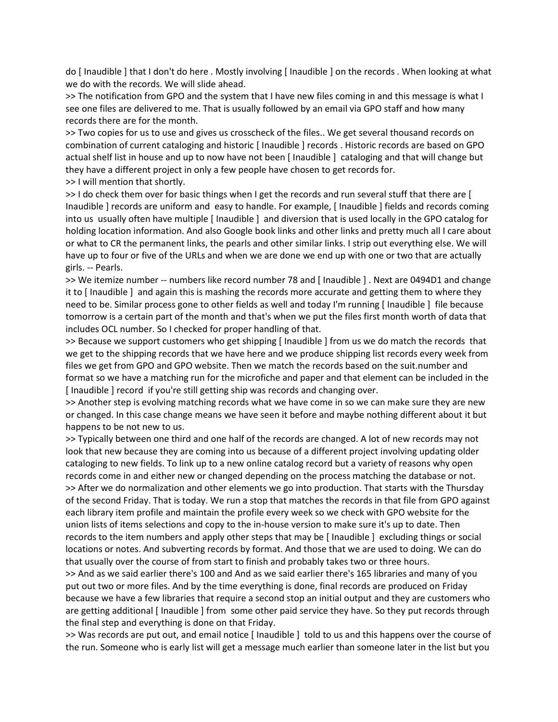do [ Inaudible ] that I don't do here . Mostly involving [ Inaudible ] on the records . When looking at what we do with the records. We will slide ahead.

>> The notification from GPO and the system that I have new files coming in and this message is what I see one files are delivered to me. That is usually followed by an email via GPO staff and how many records there are for the month.

>> Two copies for us to use and gives us crosscheck of the files.. We get several thousand records on combination of current cataloging and historic [ Inaudible ] records . Historic records are based on GPO actual shelf list in house and up to now have not been [ Inaudible ] cataloging and that will change but they have a different project in only a few people have chosen to get records for.

>> I will mention that shortly.

>> I do check them over for basic things when I get the records and run several stuff that there are [ Inaudible ] records are uniform and easy to handle. For example, [ Inaudible ] fields and records coming into us usually often have multiple [ Inaudible ] and diversion that is used locally in the GPO catalog for holding location information. And also Google book links and other links and pretty much all I care about or what to CR the permanent links, the pearls and other similar links. I strip out everything else. We will have up to four or five of the URLs and when we are done we end up with one or two that are actually girls. -- Pearls.

>> We itemize number -- numbers like record number 78 and [ Inaudible ] . Next are 0494D1 and change it to [ Inaudible ] and again this is mashing the records more accurate and getting them to where they need to be. Similar process gone to other fields as well and today I'm running [ Inaudible ] file because tomorrow is a certain part of the month and that's when we put the files first month worth of data that includes OCL number. So I checked for proper handling of that.

>> Because we support customers who get shipping [ Inaudible ] from us we do match the records that we get to the shipping records that we have here and we produce shipping list records every week from files we get from GPO and GPO website. Then we match the records based on the suit.number and format so we have a matching run for the microfiche and paper and that element can be included in the [ Inaudible ] record if you're still getting ship was records and changing over.

>> Another step is evolving matching records what we have come in so we can make sure they are new or changed. In this case change means we have seen it before and maybe nothing different about it but happens to be not new to us.

>> Typically between one third and one half of the records are changed. A lot of new records may not look that new because they are coming into us because of a different project involving updating older cataloging to new fields. To link up to a new online catalog record but a variety of reasons why open records come in and either new or changed depending on the process matching the database or not. >> After we do normalization and other elements we go into production. That starts with the Thursday of the second Friday. That is today. We run a stop that matches the records in that file from GPO against each library item profile and maintain the profile every week so we check with GPO website for the union lists of items selections and copy to the in-house version to make sure it's up to date. Then records to the item numbers and apply other steps that may be [ Inaudible ] excluding things or social locations or notes. And subverting records by format. And those that we are used to doing. We can do that usually over the course of from start to finish and probably takes two or three hours.

>> And as we said earlier there's 100 and And as we said earlier there's 165 libraries and many of you put out two or more files. And by the time everything is done, final records are produced on Friday because we have a few libraries that require a second stop an initial output and they are customers who are getting additional [ Inaudible ] from some other paid service they have. So they put records through the final step and everything is done on that Friday.

>> Was records are put out, and email notice [ Inaudible ] told to us and this happens over the course of the run. Someone who is early list will get a message much earlier than someone later in the list but you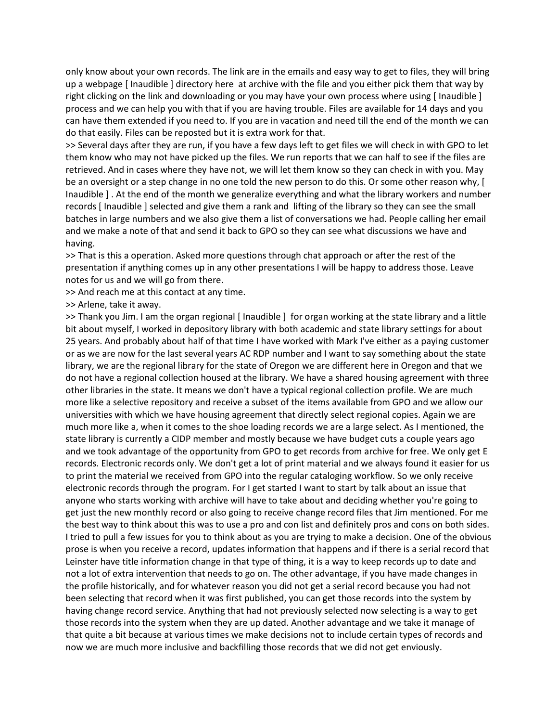only know about your own records. The link are in the emails and easy way to get to files, they will bring up a webpage [ Inaudible ] directory here at archive with the file and you either pick them that way by right clicking on the link and downloading or you may have your own process where using [ Inaudible ] process and we can help you with that if you are having trouble. Files are available for 14 days and you can have them extended if you need to. If you are in vacation and need till the end of the month we can do that easily. Files can be reposted but it is extra work for that.

>> Several days after they are run, if you have a few days left to get files we will check in with GPO to let them know who may not have picked up the files. We run reports that we can half to see if the files are retrieved. And in cases where they have not, we will let them know so they can check in with you. May be an oversight or a step change in no one told the new person to do this. Or some other reason why, [ Inaudible ] . At the end of the month we generalize everything and what the library workers and number records [ Inaudible ] selected and give them a rank and lifting of the library so they can see the small batches in large numbers and we also give them a list of conversations we had. People calling her email and we make a note of that and send it back to GPO so they can see what discussions we have and having.

>> That is this a operation. Asked more questions through chat approach or after the rest of the presentation if anything comes up in any other presentations I will be happy to address those. Leave notes for us and we will go from there.

>> And reach me at this contact at any time.

>> Arlene, take it away.

>> Thank you Jim. I am the organ regional [ Inaudible ] for organ working at the state library and a little bit about myself, I worked in depository library with both academic and state library settings for about 25 years. And probably about half of that time I have worked with Mark I've either as a paying customer or as we are now for the last several years AC RDP number and I want to say something about the state library, we are the regional library for the state of Oregon we are different here in Oregon and that we do not have a regional collection housed at the library. We have a shared housing agreement with three other libraries in the state. It means we don't have a typical regional collection profile. We are much more like a selective repository and receive a subset of the items available from GPO and we allow our universities with which we have housing agreement that directly select regional copies. Again we are much more like a, when it comes to the shoe loading records we are a large select. As I mentioned, the state library is currently a CIDP member and mostly because we have budget cuts a couple years ago and we took advantage of the opportunity from GPO to get records from archive for free. We only get E records. Electronic records only. We don't get a lot of print material and we always found it easier for us to print the material we received from GPO into the regular cataloging workflow. So we only receive electronic records through the program. For I get started I want to start by talk about an issue that anyone who starts working with archive will have to take about and deciding whether you're going to get just the new monthly record or also going to receive change record files that Jim mentioned. For me the best way to think about this was to use a pro and con list and definitely pros and cons on both sides. I tried to pull a few issues for you to think about as you are trying to make a decision. One of the obvious prose is when you receive a record, updates information that happens and if there is a serial record that Leinster have title information change in that type of thing, it is a way to keep records up to date and not a lot of extra intervention that needs to go on. The other advantage, if you have made changes in the profile historically, and for whatever reason you did not get a serial record because you had not been selecting that record when it was first published, you can get those records into the system by having change record service. Anything that had not previously selected now selecting is a way to get those records into the system when they are up dated. Another advantage and we take it manage of that quite a bit because at various times we make decisions not to include certain types of records and now we are much more inclusive and backfilling those records that we did not get enviously.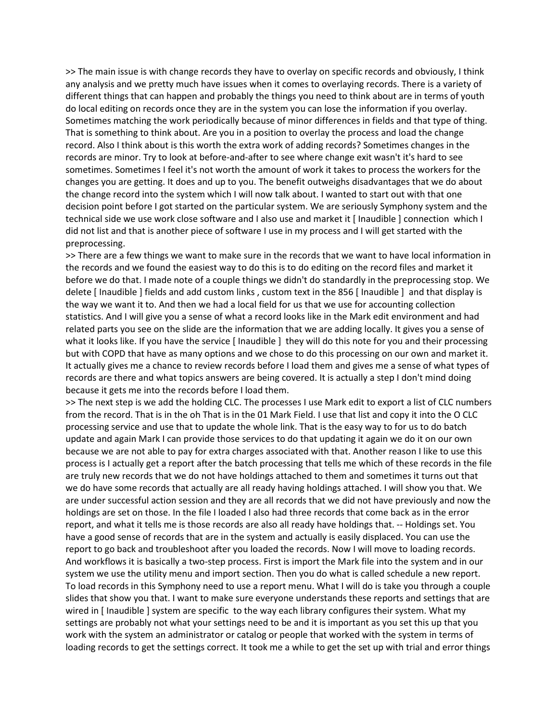>> The main issue is with change records they have to overlay on specific records and obviously, I think any analysis and we pretty much have issues when it comes to overlaying records. There is a variety of different things that can happen and probably the things you need to think about are in terms of youth do local editing on records once they are in the system you can lose the information if you overlay. Sometimes matching the work periodically because of minor differences in fields and that type of thing. That is something to think about. Are you in a position to overlay the process and load the change record. Also I think about is this worth the extra work of adding records? Sometimes changes in the records are minor. Try to look at before-and-after to see where change exit wasn't it's hard to see sometimes. Sometimes I feel it's not worth the amount of work it takes to process the workers for the changes you are getting. It does and up to you. The benefit outweighs disadvantages that we do about the change record into the system which I will now talk about. I wanted to start out with that one decision point before I got started on the particular system. We are seriously Symphony system and the technical side we use work close software and I also use and market it [ Inaudible ] connection which I did not list and that is another piece of software I use in my process and I will get started with the preprocessing.

>> There are a few things we want to make sure in the records that we want to have local information in the records and we found the easiest way to do this is to do editing on the record files and market it before we do that. I made note of a couple things we didn't do standardly in the preprocessing stop. We delete [ Inaudible ] fields and add custom links , custom text in the 856 [ Inaudible ] and that display is the way we want it to. And then we had a local field for us that we use for accounting collection statistics. And I will give you a sense of what a record looks like in the Mark edit environment and had related parts you see on the slide are the information that we are adding locally. It gives you a sense of what it looks like. If you have the service [ Inaudible ] they will do this note for you and their processing but with COPD that have as many options and we chose to do this processing on our own and market it. It actually gives me a chance to review records before I load them and gives me a sense of what types of records are there and what topics answers are being covered. It is actually a step I don't mind doing because it gets me into the records before I load them.

>> The next step is we add the holding CLC. The processes I use Mark edit to export a list of CLC numbers from the record. That is in the oh That is in the 01 Mark Field. I use that list and copy it into the O CLC processing service and use that to update the whole link. That is the easy way to for us to do batch update and again Mark I can provide those services to do that updating it again we do it on our own because we are not able to pay for extra charges associated with that. Another reason I like to use this process is I actually get a report after the batch processing that tells me which of these records in the file are truly new records that we do not have holdings attached to them and sometimes it turns out that we do have some records that actually are all ready having holdings attached. I will show you that. We are under successful action session and they are all records that we did not have previously and now the holdings are set on those. In the file I loaded I also had three records that come back as in the error report, and what it tells me is those records are also all ready have holdings that. -- Holdings set. You have a good sense of records that are in the system and actually is easily displaced. You can use the report to go back and troubleshoot after you loaded the records. Now I will move to loading records. And workflows it is basically a two-step process. First is import the Mark file into the system and in our system we use the utility menu and import section. Then you do what is called schedule a new report. To load records in this Symphony need to use a report menu. What I will do is take you through a couple slides that show you that. I want to make sure everyone understands these reports and settings that are wired in [ Inaudible ] system are specific to the way each library configures their system. What my settings are probably not what your settings need to be and it is important as you set this up that you work with the system an administrator or catalog or people that worked with the system in terms of loading records to get the settings correct. It took me a while to get the set up with trial and error things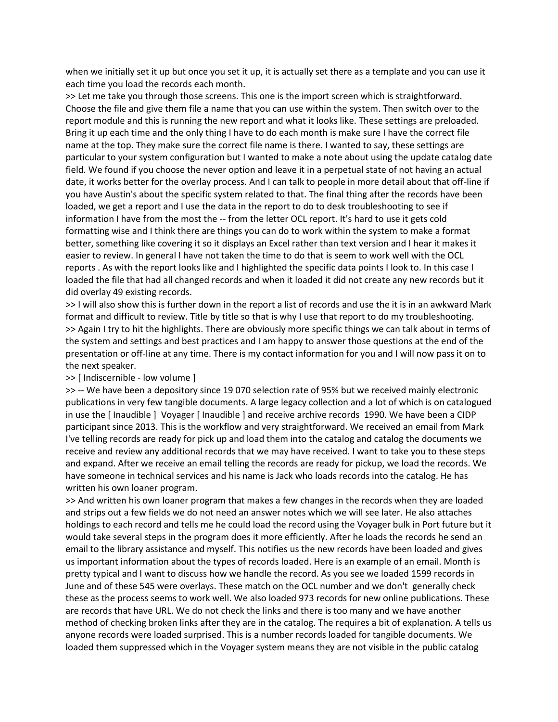when we initially set it up but once you set it up, it is actually set there as a template and you can use it each time you load the records each month.

>> Let me take you through those screens. This one is the import screen which is straightforward. Choose the file and give them file a name that you can use within the system. Then switch over to the report module and this is running the new report and what it looks like. These settings are preloaded. Bring it up each time and the only thing I have to do each month is make sure I have the correct file name at the top. They make sure the correct file name is there. I wanted to say, these settings are particular to your system configuration but I wanted to make a note about using the update catalog date field. We found if you choose the never option and leave it in a perpetual state of not having an actual date, it works better for the overlay process. And I can talk to people in more detail about that off-line if you have Austin's about the specific system related to that. The final thing after the records have been loaded, we get a report and I use the data in the report to do to desk troubleshooting to see if information I have from the most the -- from the letter OCL report. It's hard to use it gets cold formatting wise and I think there are things you can do to work within the system to make a format better, something like covering it so it displays an Excel rather than text version and I hear it makes it easier to review. In general I have not taken the time to do that is seem to work well with the OCL reports . As with the report looks like and I highlighted the specific data points I look to. In this case I loaded the file that had all changed records and when it loaded it did not create any new records but it did overlay 49 existing records.

>> I will also show this is further down in the report a list of records and use the it is in an awkward Mark format and difficult to review. Title by title so that is why I use that report to do my troubleshooting. >> Again I try to hit the highlights. There are obviously more specific things we can talk about in terms of the system and settings and best practices and I am happy to answer those questions at the end of the presentation or off-line at any time. There is my contact information for you and I will now pass it on to the next speaker.

## >> [ Indiscernible - low volume ]

>> -- We have been a depository since 19 070 selection rate of 95% but we received mainly electronic publications in very few tangible documents. A large legacy collection and a lot of which is on catalogued in use the [ Inaudible ] Voyager [ Inaudible ] and receive archive records 1990. We have been a CIDP participant since 2013. This is the workflow and very straightforward. We received an email from Mark I've telling records are ready for pick up and load them into the catalog and catalog the documents we receive and review any additional records that we may have received. I want to take you to these steps and expand. After we receive an email telling the records are ready for pickup, we load the records. We have someone in technical services and his name is Jack who loads records into the catalog. He has written his own loaner program.

>> And written his own loaner program that makes a few changes in the records when they are loaded and strips out a few fields we do not need an answer notes which we will see later. He also attaches holdings to each record and tells me he could load the record using the Voyager bulk in Port future but it would take several steps in the program does it more efficiently. After he loads the records he send an email to the library assistance and myself. This notifies us the new records have been loaded and gives us important information about the types of records loaded. Here is an example of an email. Month is pretty typical and I want to discuss how we handle the record. As you see we loaded 1599 records in June and of these 545 were overlays. These match on the OCL number and we don't generally check these as the process seems to work well. We also loaded 973 records for new online publications. These are records that have URL. We do not check the links and there is too many and we have another method of checking broken links after they are in the catalog. The requires a bit of explanation. A tells us anyone records were loaded surprised. This is a number records loaded for tangible documents. We loaded them suppressed which in the Voyager system means they are not visible in the public catalog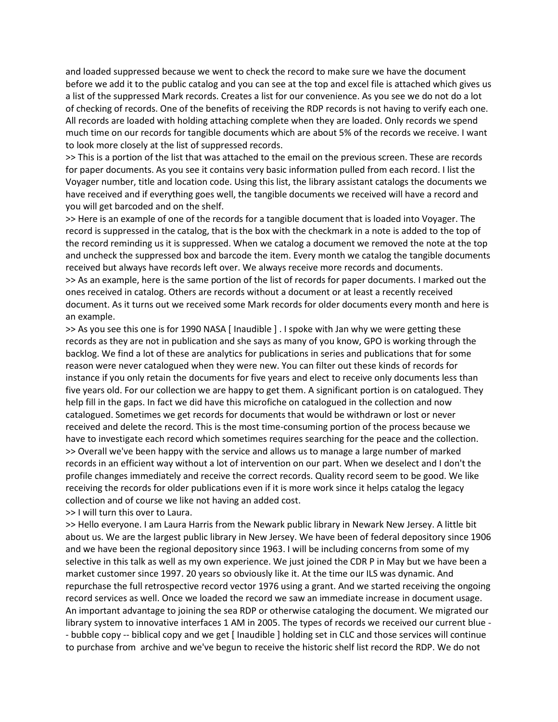and loaded suppressed because we went to check the record to make sure we have the document before we add it to the public catalog and you can see at the top and excel file is attached which gives us a list of the suppressed Mark records. Creates a list for our convenience. As you see we do not do a lot of checking of records. One of the benefits of receiving the RDP records is not having to verify each one. All records are loaded with holding attaching complete when they are loaded. Only records we spend much time on our records for tangible documents which are about 5% of the records we receive. I want to look more closely at the list of suppressed records.

>> This is a portion of the list that was attached to the email on the previous screen. These are records for paper documents. As you see it contains very basic information pulled from each record. I list the Voyager number, title and location code. Using this list, the library assistant catalogs the documents we have received and if everything goes well, the tangible documents we received will have a record and you will get barcoded and on the shelf.

>> Here is an example of one of the records for a tangible document that is loaded into Voyager. The record is suppressed in the catalog, that is the box with the checkmark in a note is added to the top of the record reminding us it is suppressed. When we catalog a document we removed the note at the top and uncheck the suppressed box and barcode the item. Every month we catalog the tangible documents received but always have records left over. We always receive more records and documents. >> As an example, here is the same portion of the list of records for paper documents. I marked out the ones received in catalog. Others are records without a document or at least a recently received document. As it turns out we received some Mark records for older documents every month and here is an example.

>> As you see this one is for 1990 NASA [ Inaudible ] . I spoke with Jan why we were getting these records as they are not in publication and she says as many of you know, GPO is working through the backlog. We find a lot of these are analytics for publications in series and publications that for some reason were never catalogued when they were new. You can filter out these kinds of records for instance if you only retain the documents for five years and elect to receive only documents less than five years old. For our collection we are happy to get them. A significant portion is on catalogued. They help fill in the gaps. In fact we did have this microfiche on catalogued in the collection and now catalogued. Sometimes we get records for documents that would be withdrawn or lost or never received and delete the record. This is the most time-consuming portion of the process because we have to investigate each record which sometimes requires searching for the peace and the collection. >> Overall we've been happy with the service and allows us to manage a large number of marked records in an efficient way without a lot of intervention on our part. When we deselect and I don't the profile changes immediately and receive the correct records. Quality record seem to be good. We like receiving the records for older publications even if it is more work since it helps catalog the legacy collection and of course we like not having an added cost.

>> I will turn this over to Laura.

>> Hello everyone. I am Laura Harris from the Newark public library in Newark New Jersey. A little bit about us. We are the largest public library in New Jersey. We have been of federal depository since 1906 and we have been the regional depository since 1963. I will be including concerns from some of my selective in this talk as well as my own experience. We just joined the CDR P in May but we have been a market customer since 1997. 20 years so obviously like it. At the time our ILS was dynamic. And repurchase the full retrospective record vector 1976 using a grant. And we started receiving the ongoing record services as well. Once we loaded the record we saw an immediate increase in document usage. An important advantage to joining the sea RDP or otherwise cataloging the document. We migrated our library system to innovative interfaces 1 AM in 2005. The types of records we received our current blue - - bubble copy -- biblical copy and we get [ Inaudible ] holding set in CLC and those services will continue to purchase from archive and we've begun to receive the historic shelf list record the RDP. We do not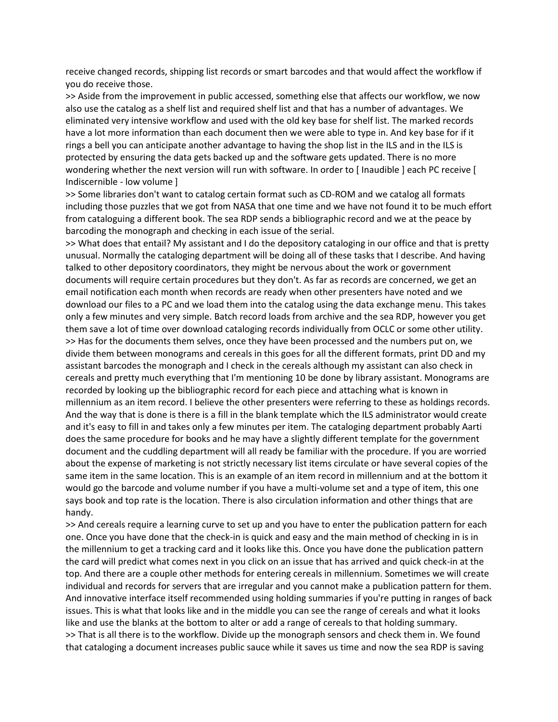receive changed records, shipping list records or smart barcodes and that would affect the workflow if you do receive those.

>> Aside from the improvement in public accessed, something else that affects our workflow, we now also use the catalog as a shelf list and required shelf list and that has a number of advantages. We eliminated very intensive workflow and used with the old key base for shelf list. The marked records have a lot more information than each document then we were able to type in. And key base for if it rings a bell you can anticipate another advantage to having the shop list in the ILS and in the ILS is protected by ensuring the data gets backed up and the software gets updated. There is no more wondering whether the next version will run with software. In order to [ Inaudible ] each PC receive [ Indiscernible - low volume ]

>> Some libraries don't want to catalog certain format such as CD-ROM and we catalog all formats including those puzzles that we got from NASA that one time and we have not found it to be much effort from cataloguing a different book. The sea RDP sends a bibliographic record and we at the peace by barcoding the monograph and checking in each issue of the serial.

>> What does that entail? My assistant and I do the depository cataloging in our office and that is pretty unusual. Normally the cataloging department will be doing all of these tasks that I describe. And having talked to other depository coordinators, they might be nervous about the work or government documents will require certain procedures but they don't. As far as records are concerned, we get an email notification each month when records are ready when other presenters have noted and we download our files to a PC and we load them into the catalog using the data exchange menu. This takes only a few minutes and very simple. Batch record loads from archive and the sea RDP, however you get them save a lot of time over download cataloging records individually from OCLC or some other utility. >> Has for the documents them selves, once they have been processed and the numbers put on, we divide them between monograms and cereals in this goes for all the different formats, print DD and my assistant barcodes the monograph and I check in the cereals although my assistant can also check in cereals and pretty much everything that I'm mentioning 10 be done by library assistant. Monograms are recorded by looking up the bibliographic record for each piece and attaching what is known in millennium as an item record. I believe the other presenters were referring to these as holdings records. And the way that is done is there is a fill in the blank template which the ILS administrator would create and it's easy to fill in and takes only a few minutes per item. The cataloging department probably Aarti does the same procedure for books and he may have a slightly different template for the government document and the cuddling department will all ready be familiar with the procedure. If you are worried about the expense of marketing is not strictly necessary list items circulate or have several copies of the same item in the same location. This is an example of an item record in millennium and at the bottom it would go the barcode and volume number if you have a multi-volume set and a type of item, this one says book and top rate is the location. There is also circulation information and other things that are handy.

>> And cereals require a learning curve to set up and you have to enter the publication pattern for each one. Once you have done that the check-in is quick and easy and the main method of checking in is in the millennium to get a tracking card and it looks like this. Once you have done the publication pattern the card will predict what comes next in you click on an issue that has arrived and quick check-in at the top. And there are a couple other methods for entering cereals in millennium. Sometimes we will create individual and records for servers that are irregular and you cannot make a publication pattern for them. And innovative interface itself recommended using holding summaries if you're putting in ranges of back issues. This is what that looks like and in the middle you can see the range of cereals and what it looks like and use the blanks at the bottom to alter or add a range of cereals to that holding summary. >> That is all there is to the workflow. Divide up the monograph sensors and check them in. We found that cataloging a document increases public sauce while it saves us time and now the sea RDP is saving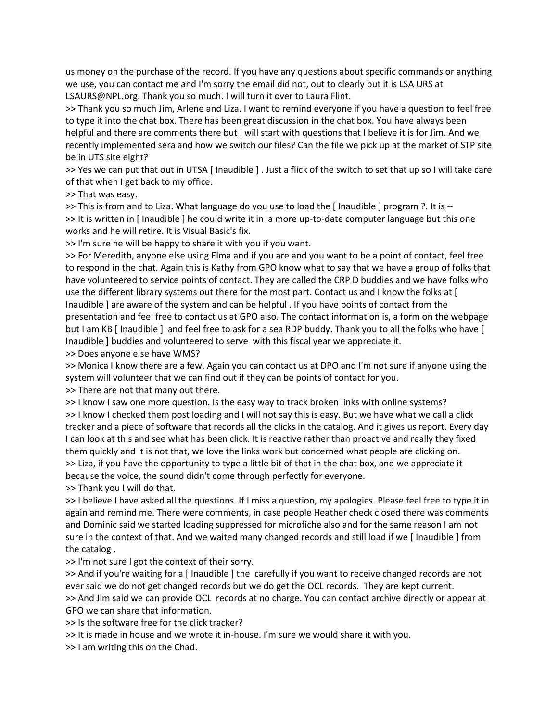us money on the purchase of the record. If you have any questions about specific commands or anything we use, you can contact me and I'm sorry the email did not, out to clearly but it is LSA URS at LSAURS@NPL.org. Thank you so much. I will turn it over to Laura Flint.

>> Thank you so much Jim, Arlene and Liza. I want to remind everyone if you have a question to feel free to type it into the chat box. There has been great discussion in the chat box. You have always been helpful and there are comments there but I will start with questions that I believe it is for Jim. And we recently implemented sera and how we switch our files? Can the file we pick up at the market of STP site be in UTS site eight?

>> Yes we can put that out in UTSA [ Inaudible ] . Just a flick of the switch to set that up so I will take care of that when I get back to my office.

>> That was easy.

>> This is from and to Liza. What language do you use to load the [ Inaudible ] program ?. It is -- >> It is written in [ Inaudible ] he could write it in a more up-to-date computer language but this one works and he will retire. It is Visual Basic's fix.

>> I'm sure he will be happy to share it with you if you want.

>> For Meredith, anyone else using Elma and if you are and you want to be a point of contact, feel free to respond in the chat. Again this is Kathy from GPO know what to say that we have a group of folks that have volunteered to service points of contact. They are called the CRP D buddies and we have folks who use the different library systems out there for the most part. Contact us and I know the folks at [ Inaudible ] are aware of the system and can be helpful . If you have points of contact from the presentation and feel free to contact us at GPO also. The contact information is, a form on the webpage but I am KB [ Inaudible ] and feel free to ask for a sea RDP buddy. Thank you to all the folks who have [ Inaudible ] buddies and volunteered to serve with this fiscal year we appreciate it.

>> Does anyone else have WMS?

>> Monica I know there are a few. Again you can contact us at DPO and I'm not sure if anyone using the system will volunteer that we can find out if they can be points of contact for you.

>> There are not that many out there.

>> I know I saw one more question. Is the easy way to track broken links with online systems? >> I know I checked them post loading and I will not say this is easy. But we have what we call a click tracker and a piece of software that records all the clicks in the catalog. And it gives us report. Every day I can look at this and see what has been click. It is reactive rather than proactive and really they fixed them quickly and it is not that, we love the links work but concerned what people are clicking on. >> Liza, if you have the opportunity to type a little bit of that in the chat box, and we appreciate it because the voice, the sound didn't come through perfectly for everyone.

>> Thank you I will do that.

>> I believe I have asked all the questions. If I miss a question, my apologies. Please feel free to type it in again and remind me. There were comments, in case people Heather check closed there was comments and Dominic said we started loading suppressed for microfiche also and for the same reason I am not sure in the context of that. And we waited many changed records and still load if we [ Inaudible ] from the catalog .

>> I'm not sure I got the context of their sorry.

>> And if you're waiting for a [ Inaudible ] the carefully if you want to receive changed records are not ever said we do not get changed records but we do get the OCL records. They are kept current. >> And Jim said we can provide OCL records at no charge. You can contact archive directly or appear at GPO we can share that information.

>> Is the software free for the click tracker?

>> It is made in house and we wrote it in-house. I'm sure we would share it with you.

>> I am writing this on the Chad.